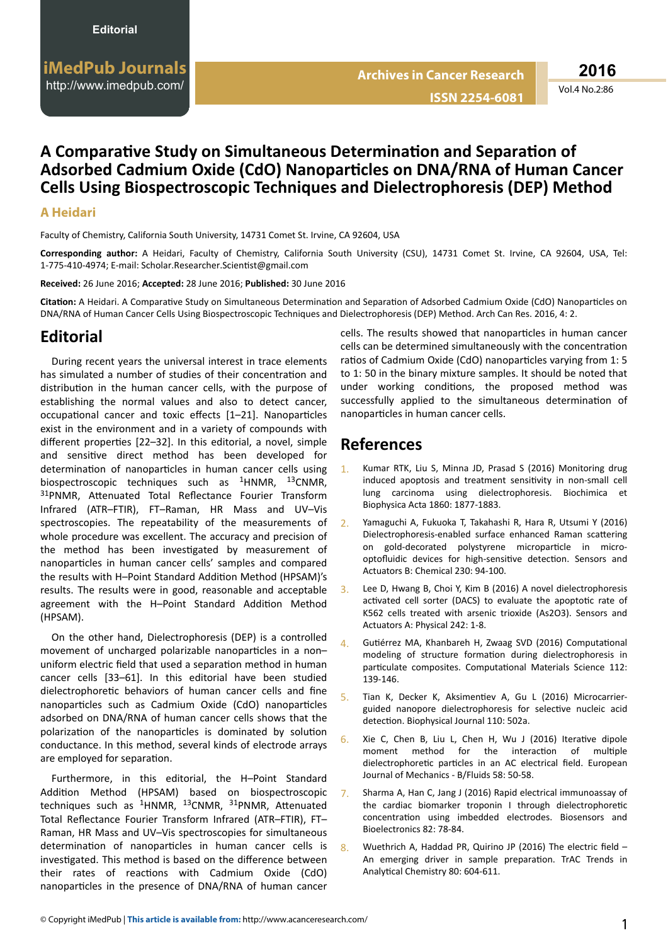#### Vol.4 No.2:86

## **A ŽmƉĂƌĂƟǀĞ Study on Simultaneous ĞƚĞƌmŝnĂƟŽn and ^ĞƉĂƌĂƟŽn of Adsorbed Cadmium Oxide (CdO) Nanoparticles on DNA/RNA of Human Cancer Cells Using Biospectroscopic Techniques and Dielectrophoresis (DEP) Method**

### **A Heidari**

Faculty of Chemistry, California South University, 14731 Comet St. Irvine, CA 92604, USA

**Corresponding author:** A Heidari, Faculty of Chemistry, California South University (CSU), 14731 Comet St. Irvine, CA 92604, USA, Tel: 1-775-410-4974; E-mail: Scholar.Researcher.Scientist@gmail.com

**Received:** 26 June 2016; **Accepted:** 28 June 2016; **Published:** 30 June 2016

Citation: A Heidari. A Comparative Study on Simultaneous Determination and Separation of Adsorbed Cadmium Oxide (CdO) Nanoparticles on DNA/RNA of Human Cancer Cells Using Biospectroscopic Techniques and Dielectrophoresis (DEP) Method. Arch Can Res. 2016, 4: 2.

## **Editorial**

During recent years the universal interest in trace elements has simulated a number of studies of their concentration and distribution in the human cancer cells, with the purpose of establishing the normal values and also to detect cancer, occupational cancer and toxic effects [1–21]. Nanoparticles exist in the environment and in a variety of compounds with different properties [22–32]. In this editorial, a novel, simple and sensitive direct method has been developed for determination of nanoparticles in human cancer cells using biospectroscopic techniques such as  $1 + 13$ CNMR, 31PNMR, Attenuated Total Reflectance Fourier Transform Infrared (ATR–FTIR), FT–Raman, HR Mass and UV–Vis spectroscopies. The repeatability of the measurements of whole procedure was excellent. The accuracy and precision of the method has been investigated by measurement of nanoparticles in human cancer cells' samples and compared the results with H-Point Standard Addition Method (HPSAM)'s results. The results were in good, reasonable and acceptable agreement with the H-Point Standard Addition Method (HPSAM).

On the other hand, Dielectrophoresis (DEP) is a controlled movement of uncharged polarizable nanoparticles in a nonuniform electric field that used a separation method in human cancer cells [33–61]. In this editorial have been studied dielectrophoretic behaviors of human cancer cells and fine nanoparticles such as Cadmium Oxide (CdO) nanoparticles adsorbed on DNA/RNA of human cancer cells shows that the polarization of the nanoparticles is dominated by solution conductance. In this method, several kinds of electrode arrays are employed for separation.

Furthermore, in this editorial, the H–Point Standard Addition Method (HPSAM) based on biospectroscopic techniques such as  $1HNMR$ ,  $13CNMR$ ,  $31PNMR$ , Attenuated Total Reflectance Fourier Transform Infrared (ATR–FTIR), FT– Raman, HR Mass and UV–Vis spectroscopies for simultaneous determination of nanoparticles in human cancer cells is investigated. This method is based on the difference between their rates of reactions with Cadmium Oxide (CdO) nanoparticles in the presence of DNA/RNA of human cancer

cells. The results showed that nanoparticles in human cancer cells can be determined simultaneously with the concentration ratios of Cadmium Oxide (CdO) nanoparticles varying from 1: 5 to 1: 50 in the binary mixture samples. It should be noted that under working conditions, the proposed method was successfully applied to the simultaneous determination of nanoparticles in human cancer cells.

# **References**

- Kumar RTK, Liu S, Minna JD, Prasad S (2016) Monitoring drug induced apoptosis and treatment sensitivity in non-small cell lung carcinoma using dielectrophoresis. Biochimica et Biophysica Acta 1860: 1877-1883.
- 2. Yamaguchi A, Fukuoka T, Takahashi R, Hara R, Utsumi Y (2016) Dielectrophoresis-enabled surface enhanced Raman scattering on gold-decorated polystyrene microparticle in microoptofluidic devices for high-sensitive detection. Sensors and Actuators B: Chemical 230: 94-100.
- 3. Lee D, Hwang B, Choi Y, Kim B (2016) A novel dielectrophoresis activated cell sorter (DACS) to evaluate the apoptotic rate of K562 cells treated with arsenic trioxide (As2O3). Sensors and Actuators A: Physical 242: 1-8.
- 4. Gutiérrez MA, Khanbareh H, Zwaag SVD (2016) Computational modeling of structure formation during dielectrophoresis in particulate composites. Computational Materials Science 112: 139-146.
- Tian K, Decker K, Aksimentiev A, Gu L (2016) Microcarrierguided nanopore dielectrophoresis for selective nucleic acid detection. Biophysical Journal 110: 502a.
- $6.$  Xie C, Chen B, Liu L, Chen H, Wu J (2016) Iterative dipole moment method for the interaction of multiple dielectrophoretic particles in an AC electrical field. European Journal of Mechanics - B/Fluids 58: 50-58.
- 7. Sharma A, Han C, Jang J (2016) Rapid electrical immunoassay of the cardiac biomarker troponin I through dielectrophoretic concentration using imbedded electrodes. Biosensors and Bioelectronics 82: 78-84.
- Wuethrich A, Haddad PR, Quirino JP (2016) The electric field An emerging driver in sample preparation. TrAC Trends in Analytical Chemistry 80: 604-611.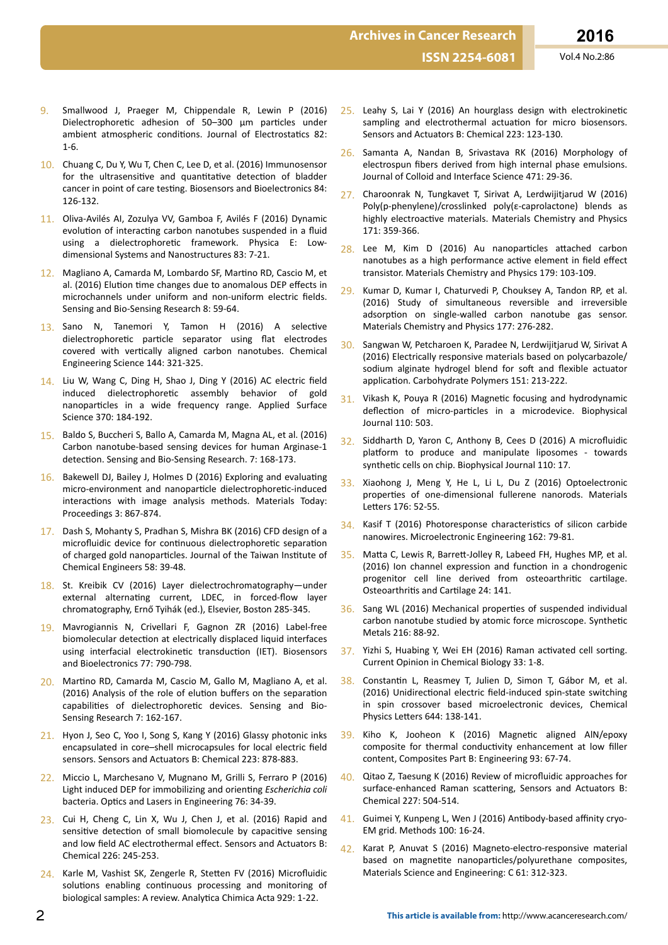- 9. Smallwood J, Praeger M, Chippendale R, Lewin P (2016) Dielectrophoretic adhesion of 50–300 μm particles under ambient atmospheric conditions. Journal of Electrostatics 82: 1-6.
- 10. Chuang C, Du Y, Wu T, Chen C, Lee D, et al. (2016) Immunosensor for the ultrasensitive and quantitative detection of bladder cancer in point of care testing. Biosensors and Bioelectronics 84: 126-132.
- 11. Oliva-Avilés AI, Zozulya VV, Gamboa F, Avilés F (2016) Dynamic evolution of interacting carbon nanotubes suspended in a fluid using a dielectrophoretic framework. Physica E: Lowdimensional Systems and Nanostructures 83: 7-21.
- 12. Magliano A, Camarda M, Lombardo SF, Martino RD, Cascio M, et al. (2016) Elution time changes due to anomalous DEP effects in microchannels under uniform and non-uniform electric fields. Sensing and Bio-Sensing Research 8: 59-64.
- 13. Sano N, Tanemori Y, Tamon H (2016) A selective dielectrophoretic particle separator using flat electrodes covered with vertically aligned carbon nanotubes. Chemical Engineering Science 144: 321-325.
- 14. Liu W, Wang C, Ding H, Shao J, Ding Y (2016) AC electric field induced dielectrophoretic assembly behavior of gold nanoparticles in a wide frequency range. Applied Surface Science 370: 184-192.
- 15. Baldo S, Buccheri S, Ballo A, Camarda M, Magna AL, et al. (2016) Carbon nanotube-based sensing devices for human Arginase-1 detection. Sensing and Bio-Sensing Research. 7: 168-173.
- 16. Bakewell DJ, Bailey J, Holmes D (2016) Exploring and evaluating micro-environment and nanoparticle dielectrophoretic-induced interactions with image analysis methods. Materials Today: Proceedings 3: 867-874.
- 17. Dash S, Mohanty S, Pradhan S, Mishra BK (2016) CFD design of a microfluidic device for continuous dielectrophoretic separation of charged gold nanoparticles. Journal of the Taiwan Institute of Chemical Engineers 58: 39-48.
- 18. St. Kreibik CV (2016) Layer dielectrochromatography—under external alternating current, LDEC, in forced-flow layer chromatography, Ernő Tyihák (ed.), Elsevier, Boston 285-345.
- 19. Mavrogiannis N, Crivellari F, Gagnon ZR (2016) Label-free biomolecular detection at electrically displaced liquid interfaces using interfacial electrokinetic transduction (IET). Biosensors and Bioelectronics 77: 790-798.
- 20. Martino RD, Camarda M, Cascio M, Gallo M, Magliano A, et al. (2016) Analysis of the role of elution buffers on the separation capabilities of dielectrophoretic devices. Sensing and Bio-Sensing Research 7: 162-167.
- 21. Hyon J, Seo C, Yoo I, Song S, Kang Y (2016) Glassy photonic inks encapsulated in core–shell microcapsules for local electric field sensors. Sensors and Actuators B: Chemical 223: 878-883.
- 22. Miccio L, Marchesano V, Mugnano M, Grilli S, Ferraro P (2016) Light induced DEP for immobilizing and orienting *Escherichia coli* bacteria. Optics and Lasers in Engineering 76: 34-39.
- 23. Cui H, Cheng C, Lin X, Wu J, Chen J, et al. (2016) Rapid and sensitive detection of small biomolecule by capacitive sensing and low field AC electrothermal effect. Sensors and Actuators B: Chemical 226: 245-253.
- 24. Karle M, Vashist SK, Zengerle R, Stetten FV (2016) Microfluidic solutions enabling continuous processing and monitoring of biological samples: A review. Analytica Chimica Acta 929: 1-22.
- $25.$  Leahy S, Lai Y (2016) An hourglass design with electrokinetic sampling and electrothermal actuation for micro biosensors. Sensors and Actuators B: Chemical 223: 123-130.
- 26. Samanta A, Nandan B, Srivastava RK (2016) Morphology of electrospun fibers derived from high internal phase emulsions. Journal of Colloid and Interface Science 471: 29-36.
- 27. Charoonrak N, Tungkavet T, Sirivat A, Lerdwijitjarud W (2016) Poly(p-phenylene)/crosslinked poly(ε-caprolactone) blends as highly electroactive materials. Materials Chemistry and Physics 171: 359-366.
- 28. Lee M, Kim D (2016) Au nanoparticles attached carbon nanotubes as a high performance active element in field effect transistor. Materials Chemistry and Physics 179: 103-109.
- 29. Kumar D, Kumar I, Chaturvedi P, Chouksey A, Tandon RP, et al. (2016) Study of simultaneous reversible and irreversible adsorption on single-walled carbon nanotube gas sensor. Materials Chemistry and Physics 177: 276-282.
- 30. Sangwan W, Petcharoen K, Paradee N, Lerdwijitjarud W, Sirivat A (2016) Electrically responsive materials based on polycarbazole/ sodium alginate hydrogel blend for soft and flexible actuator application. Carbohydrate Polymers 151: 213-222.
- $31.$  Vikash K, Pouya R (2016) Magnetic focusing and hydrodynamic deflection of micro-particles in a microdevice. Biophysical Journal 110: 503.
- 32. Siddharth D, Yaron C, Anthony B, Cees D (2016) A microfluidic platform to produce and manipulate liposomes - towards synthetic cells on chip. Biophysical Journal 110: 17.
- 33. Xiaohong J, Meng Y, He L, Li L, Du Z (2016) Optoelectronic properties of one-dimensional fullerene nanorods. Materials Letters 176: 52-55.
- 34. Kasif T (2016) Photoresponse characteristics of silicon carbide nanowires. Microelectronic Engineering 162: 79-81.
- 35. Matta C, Lewis R, Barrett-Jolley R, Labeed FH, Hughes MP, et al. (2016) Ion channel expression and function in a chondrogenic progenitor cell line derived from osteoarthritic cartilage. Osteoarthritis and Cartilage 24: 141.
- 36. Sang WL (2016) Mechanical properties of suspended individual carbon nanotube studied by atomic force microscope. Synthetic Metals 216: 88-92.
- 37. Yizhi S, Huabing Y, Wei EH (2016) Raman activated cell sorting. Current Opinion in Chemical Biology 33: 1-8.
- 38. Constantin L, Reasmey T, Julien D, Simon T, Gábor M, et al. (2016) Unidirectional electric field-induced spin-state switching in spin crossover based microelectronic devices, Chemical Physics Letters 644: 138-141.
- 39. Kiho K, Jooheon K (2016) Magnetic aligned AlN/epoxy composite for thermal conductivity enhancement at low filler content, Composites Part B: Engineering 93: 67-74.
- 40. Qitao Z, Taesung K (2016) Review of microfluidic approaches for surface-enhanced Raman scattering, Sensors and Actuators B: Chemical 227: 504-514.
- 41. Guimei Y, Kunpeng L, Wen J (2016) Antibody-based affinity cryo-EM grid. Methods 100: 16-24.
- 42. Karat P, Anuvat S (2016) Magneto-electro-responsive material based on magnetite nanoparticles/polyurethane composites, Materials Science and Engineering: C 61: 312-323.